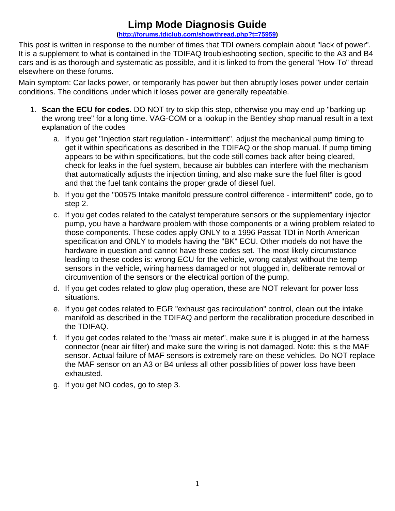## **Limp Mode Diagnosis Guide**

## **(http://forums.tdiclub.com/showthread.php?t=75959)**

This post is written in response to the number of times that TDI owners complain about "lack of power". It is a supplement to what is contained in the TDIFAQ troubleshooting section, specific to the A3 and B4 cars and is as thorough and systematic as possible, and it is linked to from the general "How-To" thread elsewhere on these forums.

Main symptom: Car lacks power, or temporarily has power but then abruptly loses power under certain conditions. The conditions under which it loses power are generally repeatable.

- 1. **Scan the ECU for codes.** DO NOT try to skip this step, otherwise you may end up "barking up the wrong tree" for a long time. VAG-COM or a lookup in the Bentley shop manual result in a text explanation of the codes
	- a. If you get "Injection start regulation intermittent", adjust the mechanical pump timing to get it within specifications as described in the TDIFAQ or the shop manual. If pump timing appears to be within specifications, but the code still comes back after being cleared, check for leaks in the fuel system, because air bubbles can interfere with the mechanism that automatically adjusts the injection timing, and also make sure the fuel filter is good and that the fuel tank contains the proper grade of diesel fuel.
	- b. If you get the "00575 Intake manifold pressure control difference intermittent" code, go to step 2.
	- c. If you get codes related to the catalyst temperature sensors or the supplementary injector pump, you have a hardware problem with those components or a wiring problem related to those components. These codes apply ONLY to a 1996 Passat TDI in North American specification and ONLY to models having the "BK" ECU. Other models do not have the hardware in question and cannot have these codes set. The most likely circumstance leading to these codes is: wrong ECU for the vehicle, wrong catalyst without the temp sensors in the vehicle, wiring harness damaged or not plugged in, deliberate removal or circumvention of the sensors or the electrical portion of the pump.
	- d. If you get codes related to glow plug operation, these are NOT relevant for power loss situations.
	- e. If you get codes related to EGR "exhaust gas recirculation" control, clean out the intake manifold as described in the TDIFAQ and perform the recalibration procedure described in the TDIFAQ.
	- f. If you get codes related to the "mass air meter", make sure it is plugged in at the harness connector (near air filter) and make sure the wiring is not damaged. Note: this is the MAF sensor. Actual failure of MAF sensors is extremely rare on these vehicles. Do NOT replace the MAF sensor on an A3 or B4 unless all other possibilities of power loss have been exhausted.
	- g. If you get NO codes, go to step 3.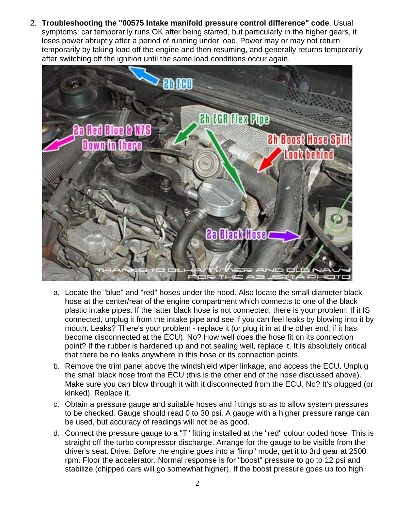2. **Troubleshooting the "00575 Intake manifold pressure control difference" code**. Usual symptoms: car temporarily runs OK after being started, but particularly in the higher gears, it loses power abruptly after a period of running under load. Power may or may not return temporarily by taking load off the engine and then resuming, and generally returns temporarily after switching off the ignition until the same load conditions occur again.



- a. Locate the "blue" and "red" hoses under the hood. Also locate the small diameter black hose at the center/rear of the engine compartment which connects to one of the black plastic intake pipes. If the latter black hose is not connected, there is your problem! If it IS connected, unplug it from the intake pipe and see if you can feel leaks by blowing into it by mouth. Leaks? There's your problem - replace it (or plug it in at the other end, if it has become disconnected at the ECU). No? How well does the hose fit on its connection point? If the rubber is hardened up and not sealing well, replace it. It is absolutely critical that there be no leaks anywhere in this hose or its connection points.
- b. Remove the trim panel above the windshield wiper linkage, and access the ECU. Unplug the small black hose from the ECU (this is the other end of the hose discussed above). Make sure you can blow through it with it disconnected from the ECU. No? It's plugged (or kinked). Replace it.
- c. Obtain a pressure gauge and suitable hoses and fittings so as to allow system pressures to be checked. Gauge should read 0 to 30 psi. A gauge with a higher pressure range can be used, but accuracy of readings will not be as good.
- d. Connect the pressure gauge to a "T" fitting installed at the "red" colour coded hose. This is straight off the turbo compressor discharge. Arrange for the gauge to be visible from the driver's seat. Drive. Before the engine goes into a "limp" mode, get it to 3rd gear at 2500 rpm. Floor the accelerator. Normal response is for "boost" pressure to go to 12 psi and stabilize (chipped cars will go somewhat higher). If the boost pressure goes up too high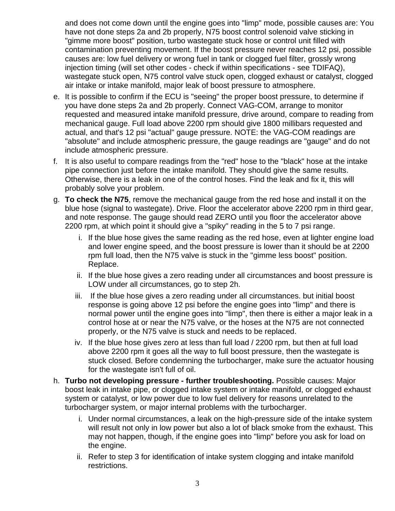and does not come down until the engine goes into "limp" mode, possible causes are: You have not done steps 2a and 2b properly, N75 boost control solenoid valve sticking in "gimme more boost" position, turbo wastegate stuck hose or control unit filled with contamination preventing movement. If the boost pressure never reaches 12 psi, possible causes are: low fuel delivery or wrong fuel in tank or clogged fuel filter, grossly wrong injection timing (will set other codes - check if within specifications - see TDIFAQ), wastegate stuck open, N75 control valve stuck open, clogged exhaust or catalyst, clogged air intake or intake manifold, major leak of boost pressure to atmosphere.

- e. It is possible to confirm if the ECU is "seeing" the proper boost pressure, to determine if you have done steps 2a and 2b properly. Connect VAG-COM, arrange to monitor requested and measured intake manifold pressure, drive around, compare to reading from mechanical gauge. Full load above 2200 rpm should give 1800 millibars requested and actual, and that's 12 psi "actual" gauge pressure. NOTE: the VAG-COM readings are "absolute" and include atmospheric pressure, the gauge readings are "gauge" and do not include atmospheric pressure.
- f. It is also useful to compare readings from the "red" hose to the "black" hose at the intake pipe connection just before the intake manifold. They should give the same results. Otherwise, there is a leak in one of the control hoses. Find the leak and fix it, this will probably solve your problem.
- g. **To check the N75**, remove the mechanical gauge from the red hose and install it on the blue hose (signal to wastegate). Drive. Floor the accelerator above 2200 rpm in third gear, and note response. The gauge should read ZERO until you floor the accelerator above 2200 rpm, at which point it should give a "spiky" reading in the 5 to 7 psi range.
	- i. If the blue hose gives the same reading as the red hose, even at lighter engine load and lower engine speed, and the boost pressure is lower than it should be at 2200 rpm full load, then the N75 valve is stuck in the "gimme less boost" position. Replace.
	- ii. If the blue hose gives a zero reading under all circumstances and boost pressure is LOW under all circumstances, go to step 2h.
	- iii. If the blue hose gives a zero reading under all circumstances. but initial boost response is going above 12 psi before the engine goes into "limp" and there is normal power until the engine goes into "limp", then there is either a major leak in a control hose at or near the N75 valve, or the hoses at the N75 are not connected properly, or the N75 valve is stuck and needs to be replaced.
	- iv. If the blue hose gives zero at less than full load / 2200 rpm, but then at full load above 2200 rpm it goes all the way to full boost pressure, then the wastegate is stuck closed. Before condemning the turbocharger, make sure the actuator housing for the wastegate isn't full of oil.
- h. **Turbo not developing pressure further troubleshooting.** Possible causes: Major boost leak in intake pipe, or clogged intake system or intake manifold, or clogged exhaust system or catalyst, or low power due to low fuel delivery for reasons unrelated to the turbocharger system, or major internal problems with the turbocharger.
	- i. Under normal circumstances, a leak on the high-pressure side of the intake system will result not only in low power but also a lot of black smoke from the exhaust. This may not happen, though, if the engine goes into "limp" before you ask for load on the engine.
	- ii. Refer to step 3 for identification of intake system clogging and intake manifold restrictions.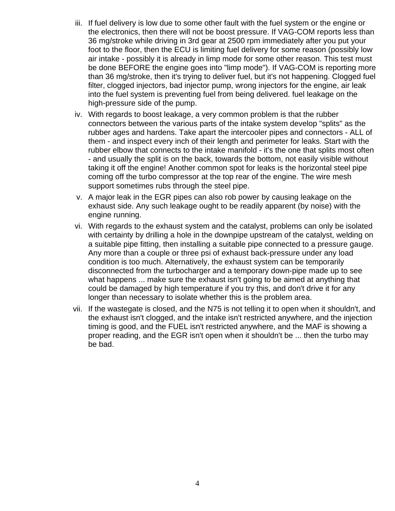- iii. If fuel delivery is low due to some other fault with the fuel system or the engine or the electronics, then there will not be boost pressure. If VAG-COM reports less than 36 mg/stroke while driving in 3rd gear at 2500 rpm immediately after you put your foot to the floor, then the ECU is limiting fuel delivery for some reason (possibly low air intake - possibly it is already in limp mode for some other reason. This test must be done BEFORE the engine goes into "limp mode"). If VAG-COM is reporting more than 36 mg/stroke, then it's trying to deliver fuel, but it's not happening. Clogged fuel filter, clogged injectors, bad injector pump, wrong injectors for the engine, air leak into the fuel system is preventing fuel from being delivered. fuel leakage on the high-pressure side of the pump.
- iv. With regards to boost leakage, a very common problem is that the rubber connectors between the various parts of the intake system develop "splits" as the rubber ages and hardens. Take apart the intercooler pipes and connectors - ALL of them - and inspect every inch of their length and perimeter for leaks. Start with the rubber elbow that connects to the intake manifold - it's the one that splits most often - and usually the split is on the back, towards the bottom, not easily visible without taking it off the engine! Another common spot for leaks is the horizontal steel pipe coming off the turbo compressor at the top rear of the engine. The wire mesh support sometimes rubs through the steel pipe.
- v. A major leak in the EGR pipes can also rob power by causing leakage on the exhaust side. Any such leakage ought to be readily apparent (by noise) with the engine running.
- vi. With regards to the exhaust system and the catalyst, problems can only be isolated with certainty by drilling a hole in the downpipe upstream of the catalyst, welding on a suitable pipe fitting, then installing a suitable pipe connected to a pressure gauge. Any more than a couple or three psi of exhaust back-pressure under any load condition is too much. Alternatively, the exhaust system can be temporarily disconnected from the turbocharger and a temporary down-pipe made up to see what happens ... make sure the exhaust isn't going to be aimed at anything that could be damaged by high temperature if you try this, and don't drive it for any longer than necessary to isolate whether this is the problem area.
- vii. If the wastegate is closed, and the N75 is not telling it to open when it shouldn't, and the exhaust isn't clogged, and the intake isn't restricted anywhere, and the injection timing is good, and the FUEL isn't restricted anywhere, and the MAF is showing a proper reading, and the EGR isn't open when it shouldn't be ... then the turbo may be bad.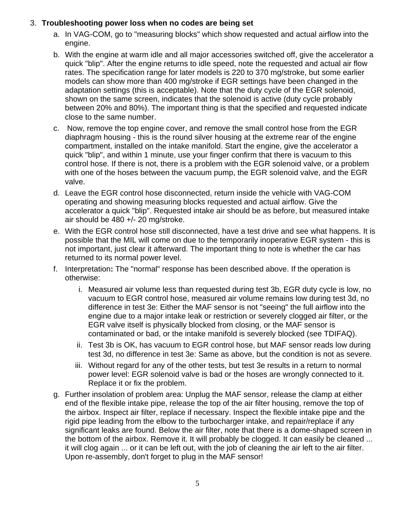## 3. **Troubleshooting power loss when no codes are being set**

- a. In VAG-COM, go to "measuring blocks" which show requested and actual airflow into the engine.
- b. With the engine at warm idle and all major accessories switched off, give the accelerator a quick "blip". After the engine returns to idle speed, note the requested and actual air flow rates. The specification range for later models is 220 to 370 mg/stroke, but some earlier models can show more than 400 mg/stroke if EGR settings have been changed in the adaptation settings (this is acceptable). Note that the duty cycle of the EGR solenoid, shown on the same screen, indicates that the solenoid is active (duty cycle probably between 20% and 80%). The important thing is that the specified and requested indicate close to the same number.
- c. Now, remove the top engine cover, and remove the small control hose from the EGR diaphragm housing - this is the round silver housing at the extreme rear of the engine compartment, installed on the intake manifold. Start the engine, give the accelerator a quick "blip", and within 1 minute, use your finger confirm that there is vacuum to this control hose. If there is not, there is a problem with the EGR solenoid valve, or a problem with one of the hoses between the vacuum pump, the EGR solenoid valve, and the EGR valve.
- d. Leave the EGR control hose disconnected, return inside the vehicle with VAG-COM operating and showing measuring blocks requested and actual airflow. Give the accelerator a quick "blip". Requested intake air should be as before, but measured intake air should be 480 +/- 20 mg/stroke.
- e. With the EGR control hose still disconnected, have a test drive and see what happens. It is possible that the MIL will come on due to the temporarily inoperative EGR system - this is not important, just clear it afterward. The important thing to note is whether the car has returned to its normal power level.
- f. Interpretation**:** The "normal" response has been described above. If the operation is otherwise:
	- i. Measured air volume less than requested during test 3b, EGR duty cycle is low, no vacuum to EGR control hose, measured air volume remains low during test 3d, no difference in test 3e: Either the MAF sensor is not "seeing" the full airflow into the engine due to a major intake leak or restriction or severely clogged air filter, or the EGR valve itself is physically blocked from closing, or the MAF sensor is contaminated or bad, or the intake manifold is severely blocked (see TDIFAQ).
	- ii. Test 3b is OK, has vacuum to EGR control hose, but MAF sensor reads low during test 3d, no difference in test 3e: Same as above, but the condition is not as severe.
	- iii. Without regard for any of the other tests, but test 3e results in a return to normal power level: EGR solenoid valve is bad or the hoses are wrongly connected to it. Replace it or fix the problem.
- g. Further insolation of problem area: Unplug the MAF sensor, release the clamp at either end of the flexible intake pipe, release the top of the air filter housing, remove the top of the airbox. Inspect air filter, replace if necessary. Inspect the flexible intake pipe and the rigid pipe leading from the elbow to the turbocharger intake, and repair/replace if any significant leaks are found. Below the air filter, note that there is a dome-shaped screen in the bottom of the airbox. Remove it. It will probably be clogged. It can easily be cleaned ... it will clog again ... or it can be left out, with the job of cleaning the air left to the air filter. Upon re-assembly, don't forget to plug in the MAF sensor!